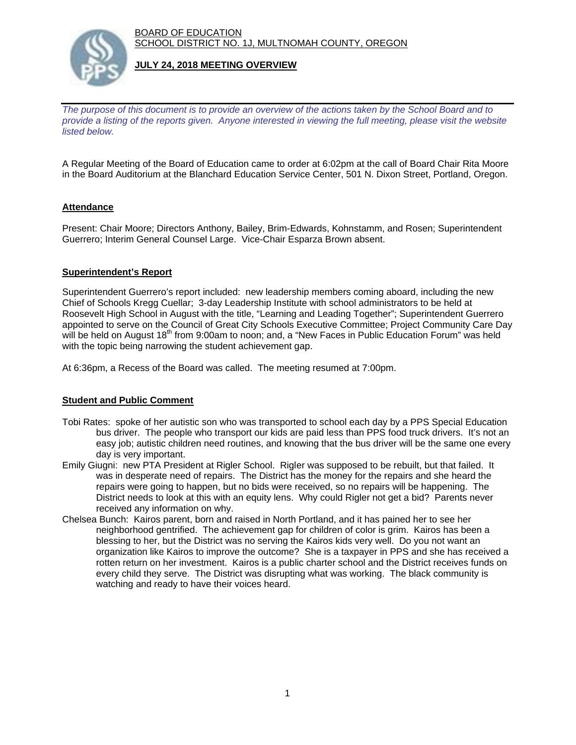BOARD OF EDUCATION SCHOOL DISTRICT NO. 1J, MULTNOMAH COUNTY, OREGON



## **JULY 24, 2018 MEETING OVERVIEW**

*The purpose of this document is to provide an overview of the actions taken by the School Board and to provide a listing of the reports given. Anyone interested in viewing the full meeting, please visit the website listed below.*

A Regular Meeting of the Board of Education came to order at 6:02pm at the call of Board Chair Rita Moore in the Board Auditorium at the Blanchard Education Service Center, 501 N. Dixon Street, Portland, Oregon.

# **Attendance**

Present: Chair Moore; Directors Anthony, Bailey, Brim-Edwards, Kohnstamm, and Rosen; Superintendent Guerrero; Interim General Counsel Large. Vice-Chair Esparza Brown absent.

### **Superintendent's Report**

Superintendent Guerrero's report included: new leadership members coming aboard, including the new Chief of Schools Kregg Cuellar; 3-day Leadership Institute with school administrators to be held at Roosevelt High School in August with the title, "Learning and Leading Together"; Superintendent Guerrero appointed to serve on the Council of Great City Schools Executive Committee; Project Community Care Day will be held on August 18<sup>th</sup> from 9:00am to noon; and, a "New Faces in Public Education Forum" was held with the topic being narrowing the student achievement gap.

At 6:36pm, a Recess of the Board was called. The meeting resumed at 7:00pm.

# **Student and Public Comment**

- Tobi Rates: spoke of her autistic son who was transported to school each day by a PPS Special Education bus driver. The people who transport our kids are paid less than PPS food truck drivers. It's not an easy job; autistic children need routines, and knowing that the bus driver will be the same one every day is very important.
- Emily Giugni: new PTA President at Rigler School. Rigler was supposed to be rebuilt, but that failed. It was in desperate need of repairs. The District has the money for the repairs and she heard the repairs were going to happen, but no bids were received, so no repairs will be happening. The District needs to look at this with an equity lens. Why could Rigler not get a bid? Parents never received any information on why.
- Chelsea Bunch: Kairos parent, born and raised in North Portland, and it has pained her to see her neighborhood gentrified. The achievement gap for children of color is grim. Kairos has been a blessing to her, but the District was no serving the Kairos kids very well. Do you not want an organization like Kairos to improve the outcome? She is a taxpayer in PPS and she has received a rotten return on her investment. Kairos is a public charter school and the District receives funds on every child they serve. The District was disrupting what was working. The black community is watching and ready to have their voices heard.